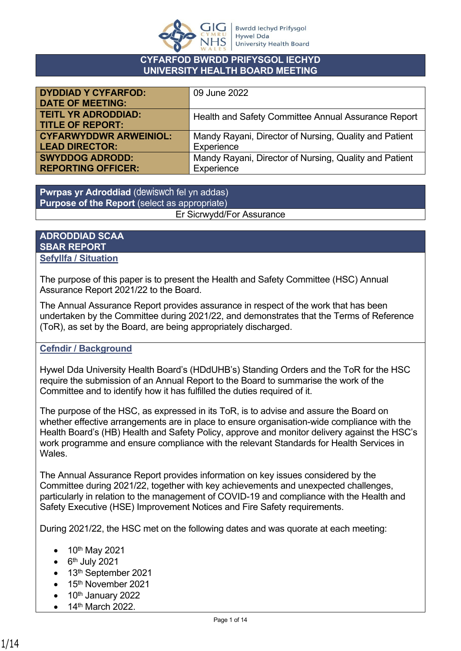

#### **CYFARFOD BWRDD PRIFYSGOL IECHYD UNIVERSITY HEALTH BOARD MEETING**

| <b>DYDDIAD Y CYFARFOD:</b>    | 09 June 2022                                           |
|-------------------------------|--------------------------------------------------------|
| <b>DATE OF MEETING:</b>       |                                                        |
| <b>TEITL YR ADRODDIAD:</b>    | Health and Safety Committee Annual Assurance Report    |
| <b>TITLE OF REPORT:</b>       |                                                        |
| <b>CYFARWYDDWR ARWEINIOL:</b> | Mandy Rayani, Director of Nursing, Quality and Patient |
| <b>LEAD DIRECTOR:</b>         | Experience                                             |
| <b>SWYDDOG ADRODD:</b>        | Mandy Rayani, Director of Nursing, Quality and Patient |
| <b>REPORTING OFFICER:</b>     | Experience                                             |

**Pwrpas yr Adroddiad** (dewiswch fel yn addas) **Purpose of the Report** (select as appropriate) Er Sicrwydd/For Assurance

### **ADRODDIAD SCAA SBAR REPORT Sefyllfa / Situation**

The purpose of this paper is to present the Health and Safety Committee (HSC) Annual Assurance Report 2021/22 to the Board.

The Annual Assurance Report provides assurance in respect of the work that has been undertaken by the Committee during 2021/22, and demonstrates that the Terms of Reference (ToR), as set by the Board, are being appropriately discharged.

# **Cefndir / Background**

Hywel Dda University Health Board's (HDdUHB's) Standing Orders and the ToR for the HSC require the submission of an Annual Report to the Board to summarise the work of the Committee and to identify how it has fulfilled the duties required of it.

The purpose of the HSC, as expressed in its ToR, is to advise and assure the Board on whether effective arrangements are in place to ensure organisation-wide compliance with the Health Board's (HB) Health and Safety Policy, approve and monitor delivery against the HSC's work programme and ensure compliance with the relevant Standards for Health Services in Wales.

The Annual Assurance Report provides information on key issues considered by the Committee during 2021/22, together with key achievements and unexpected challenges, particularly in relation to the management of COVID-19 and compliance with the Health and Safety Executive (HSE) Improvement Notices and Fire Safety requirements.

During 2021/22, the HSC met on the following dates and was quorate at each meeting:

- 10<sup>th</sup> May 2021
- $\bullet$  6<sup>th</sup> July 2021
- 13<sup>th</sup> September 2021
- 15<sup>th</sup> November 2021
- $\bullet$  10<sup>th</sup> January 2022
- 14<sup>th</sup> March 2022.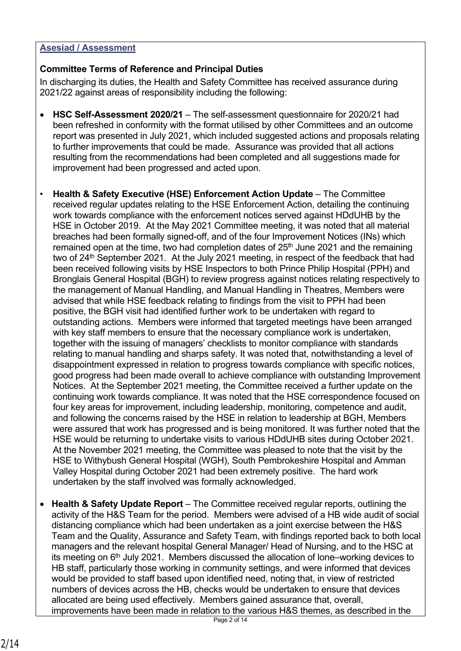### **Asesiad / Assessment**

# **Committee Terms of Reference and Principal Duties**

In discharging its duties, the Health and Safety Committee has received assurance during 2021/22 against areas of responsibility including the following:

- **HSC Self-Assessment 2020/21** The self-assessment questionnaire for 2020/21 had been refreshed in conformity with the format utilised by other Committees and an outcome report was presented in July 2021, which included suggested actions and proposals relating to further improvements that could be made. Assurance was provided that all actions resulting from the recommendations had been completed and all suggestions made for improvement had been progressed and acted upon.
- **Health & Safety Executive (HSE) Enforcement Action Update** The Committee received regular updates relating to the HSE Enforcement Action, detailing the continuing work towards compliance with the enforcement notices served against HDdUHB by the HSE in October 2019. At the May 2021 Committee meeting, it was noted that all material breaches had been formally signed-off, and of the four Improvement Notices (INs) which remained open at the time, two had completion dates of  $25<sup>th</sup>$  June 2021 and the remaining two of 24<sup>th</sup> September 2021. At the July 2021 meeting, in respect of the feedback that had been received following visits by HSE Inspectors to both Prince Philip Hospital (PPH) and Bronglais General Hospital (BGH) to review progress against notices relating respectively to the management of Manual Handling, and Manual Handling in Theatres, Members were advised that while HSE feedback relating to findings from the visit to PPH had been positive, the BGH visit had identified further work to be undertaken with regard to outstanding actions. Members were informed that targeted meetings have been arranged with key staff members to ensure that the necessary compliance work is undertaken, together with the issuing of managers' checklists to monitor compliance with standards relating to manual handling and sharps safety. It was noted that, notwithstanding a level of disappointment expressed in relation to progress towards compliance with specific notices, good progress had been made overall to achieve compliance with outstanding Improvement Notices. At the September 2021 meeting, the Committee received a further update on the continuing work towards compliance. It was noted that the HSE correspondence focused on four key areas for improvement, including leadership, monitoring, competence and audit, and following the concerns raised by the HSE in relation to leadership at BGH, Members were assured that work has progressed and is being monitored. It was further noted that the HSE would be returning to undertake visits to various HDdUHB sites during October 2021. At the November 2021 meeting, the Committee was pleased to note that the visit by the HSE to Withybush General Hospital (WGH), South Pembrokeshire Hospital and Amman Valley Hospital during October 2021 had been extremely positive. The hard work undertaken by the staff involved was formally acknowledged.
- **Health & Safety Update Report** The Committee received regular reports, outlining the activity of the H&S Team for the period. Members were advised of a HB wide audit of social distancing compliance which had been undertaken as a joint exercise between the H&S Team and the Quality, Assurance and Safety Team, with findings reported back to both local managers and the relevant hospital General Manager/ Head of Nursing, and to the HSC at its meeting on 6th July 2021. Members discussed the allocation of lone–working devices to HB staff, particularly those working in community settings, and were informed that devices would be provided to staff based upon identified need, noting that, in view of restricted numbers of devices across the HB, checks would be undertaken to ensure that devices allocated are being used effectively. Members gained assurance that, overall, improvements have been made in relation to the various H&S themes, as described in the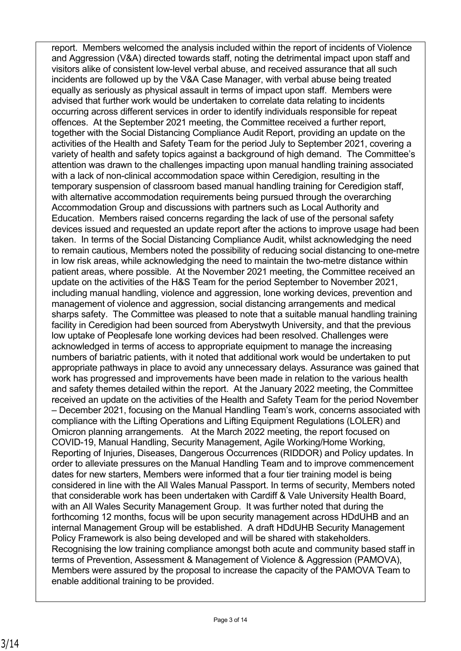report. Members welcomed the analysis included within the report of incidents of Violence and Aggression (V&A) directed towards staff, noting the detrimental impact upon staff and visitors alike of consistent low-level verbal abuse, and received assurance that all such incidents are followed up by the V&A Case Manager, with verbal abuse being treated equally as seriously as physical assault in terms of impact upon staff. Members were advised that further work would be undertaken to correlate data relating to incidents occurring across different services in order to identify individuals responsible for repeat offences. At the September 2021 meeting, the Committee received a further report, together with the Social Distancing Compliance Audit Report, providing an update on the activities of the Health and Safety Team for the period July to September 2021, covering a variety of health and safety topics against a background of high demand. The Committee's attention was drawn to the challenges impacting upon manual handling training associated with a lack of non-clinical accommodation space within Ceredigion, resulting in the temporary suspension of classroom based manual handling training for Ceredigion staff, with alternative accommodation requirements being pursued through the overarching Accommodation Group and discussions with partners such as Local Authority and Education. Members raised concerns regarding the lack of use of the personal safety devices issued and requested an update report after the actions to improve usage had been taken. In terms of the Social Distancing Compliance Audit, whilst acknowledging the need to remain cautious, Members noted the possibility of reducing social distancing to one-metre in low risk areas, while acknowledging the need to maintain the two-metre distance within patient areas, where possible. At the November 2021 meeting, the Committee received an update on the activities of the H&S Team for the period September to November 2021, including manual handling, violence and aggression, lone working devices, prevention and management of violence and aggression, social distancing arrangements and medical sharps safety. The Committee was pleased to note that a suitable manual handling training facility in Ceredigion had been sourced from Aberystwyth University, and that the previous low uptake of Peoplesafe lone working devices had been resolved. Challenges were acknowledged in terms of access to appropriate equipment to manage the increasing numbers of bariatric patients, with it noted that additional work would be undertaken to put appropriate pathways in place to avoid any unnecessary delays. Assurance was gained that work has progressed and improvements have been made in relation to the various health and safety themes detailed within the report. At the January 2022 meeting, the Committee received an update on the activities of the Health and Safety Team for the period November – December 2021, focusing on the Manual Handling Team's work, concerns associated with compliance with the Lifting Operations and Lifting Equipment Regulations (LOLER) and Omicron planning arrangements. At the March 2022 meeting, the report focused on COVID-19, Manual Handling, Security Management, Agile Working/Home Working, Reporting of Injuries, Diseases, Dangerous Occurrences (RIDDOR) and Policy updates. In order to alleviate pressures on the Manual Handling Team and to improve commencement dates for new starters, Members were informed that a four tier training model is being considered in line with the All Wales Manual Passport. In terms of security, Members noted that considerable work has been undertaken with Cardiff & Vale University Health Board, with an All Wales Security Management Group. It was further noted that during the forthcoming 12 months, focus will be upon security management across HDdUHB and an internal Management Group will be established. A draft HDdUHB Security Management Policy Framework is also being developed and will be shared with stakeholders. Recognising the low training compliance amongst both acute and community based staff in terms of Prevention, Assessment & Management of Violence & Aggression (PAMOVA), Members were assured by the proposal to increase the capacity of the PAMOVA Team to enable additional training to be provided.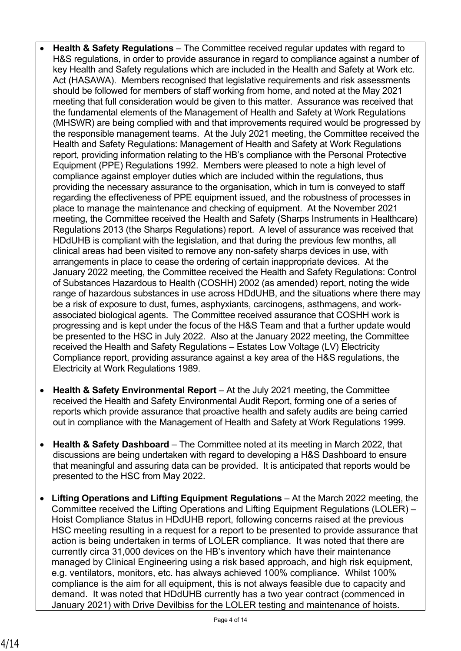- **Health & Safety Regulations** The Committee received regular updates with regard to H&S regulations, in order to provide assurance in regard to compliance against a number of key Health and Safety regulations which are included in the Health and Safety at Work etc. Act (HASAWA). Members recognised that legislative requirements and risk assessments should be followed for members of staff working from home, and noted at the May 2021 meeting that full consideration would be given to this matter. Assurance was received that the fundamental elements of the Management of Health and Safety at Work Regulations (MHSWR) are being complied with and that improvements required would be progressed by the responsible management teams. At the July 2021 meeting, the Committee received the Health and Safety Regulations: Management of Health and Safety at Work Regulations report, providing information relating to the HB's compliance with the Personal Protective Equipment (PPE) Regulations 1992. Members were pleased to note a high level of compliance against employer duties which are included within the regulations, thus providing the necessary assurance to the organisation, which in turn is conveyed to staff regarding the effectiveness of PPE equipment issued, and the robustness of processes in place to manage the maintenance and checking of equipment. At the November 2021 meeting, the Committee received the Health and Safety (Sharps Instruments in Healthcare) Regulations 2013 (the Sharps Regulations) report. A level of assurance was received that HDdUHB is compliant with the legislation, and that during the previous few months, all clinical areas had been visited to remove any non-safety sharps devices in use, with arrangements in place to cease the ordering of certain inappropriate devices. At the January 2022 meeting, the Committee received the Health and Safety Regulations: Control of Substances Hazardous to Health (COSHH) 2002 (as amended) report, noting the wide range of hazardous substances in use across HDdUHB, and the situations where there may be a risk of exposure to dust, fumes, asphyxiants, carcinogens, asthmagens, and workassociated biological agents. The Committee received assurance that COSHH work is progressing and is kept under the focus of the H&S Team and that a further update would be presented to the HSC in July 2022. Also at the January 2022 meeting, the Committee received the Health and Safety Regulations – Estates Low Voltage (LV) Electricity Compliance report, providing assurance against a key area of the H&S regulations, the Electricity at Work Regulations 1989.
- **Health & Safety Environmental Report**  At the July 2021 meeting, the Committee received the Health and Safety Environmental Audit Report, forming one of a series of reports which provide assurance that proactive health and safety audits are being carried out in compliance with the Management of Health and Safety at Work Regulations 1999.
- **Health & Safety Dashboard** The Committee noted at its meeting in March 2022, that discussions are being undertaken with regard to developing a H&S Dashboard to ensure that meaningful and assuring data can be provided. It is anticipated that reports would be presented to the HSC from May 2022.
- **Lifting Operations and Lifting Equipment Regulations** At the March 2022 meeting, the Committee received the Lifting Operations and Lifting Equipment Regulations (LOLER) – Hoist Compliance Status in HDdUHB report, following concerns raised at the previous HSC meeting resulting in a request for a report to be presented to provide assurance that action is being undertaken in terms of LOLER compliance. It was noted that there are currently circa 31,000 devices on the HB's inventory which have their maintenance managed by Clinical Engineering using a risk based approach, and high risk equipment, e.g. ventilators, monitors, etc. has always achieved 100% compliance. Whilst 100% compliance is the aim for all equipment, this is not always feasible due to capacity and demand. It was noted that HDdUHB currently has a two year contract (commenced in January 2021) with Drive Devilbiss for the LOLER testing and maintenance of hoists.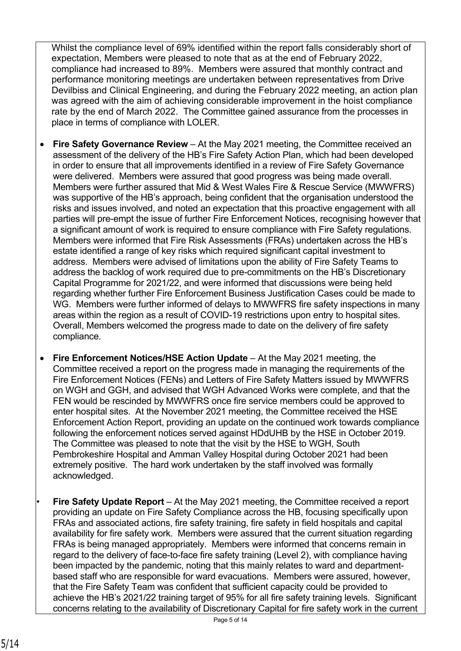Whilst the compliance level of 69% identified within the report falls considerably short of expectation, Members were pleased to note that as at the end of February 2022, compliance had increased to 89%. Members were assured that monthly contract and performance monitoring meetings are undertaken between representatives from Drive Devilbiss and Clinical Engineering, and during the February 2022 meeting, an action plan was agreed with the aim of achieving considerable improvement in the hoist compliance rate by the end of March 2022. The Committee gained assurance from the processes in place in terms of compliance with LOLER.

- **Fire Safety Governance Review** At the May 2021 meeting, the Committee received an assessment of the delivery of the HB's Fire Safety Action Plan, which had been developed in order to ensure that all improvements identified in a review of Fire Safety Governance were delivered. Members were assured that good progress was being made overall. Members were further assured that Mid & West Wales Fire & Rescue Service (MWWFRS) was supportive of the HB's approach, being confident that the organisation understood the risks and issues involved, and noted an expectation that this proactive engagement with all parties will pre-empt the issue of further Fire Enforcement Notices, recognising however that a significant amount of work is required to ensure compliance with Fire Safety regulations. Members were informed that Fire Risk Assessments (FRAs) undertaken across the HB's estate identified a range of key risks which required significant capital investment to address. Members were advised of limitations upon the ability of Fire Safety Teams to address the backlog of work required due to pre-commitments on the HB's Discretionary Capital Programme for 2021/22, and were informed that discussions were being held regarding whether further Fire Enforcement Business Justification Cases could be made to WG. Members were further informed of delays to MWWFRS fire safety inspections in many areas within the region as a result of COVID-19 restrictions upon entry to hospital sites. Overall, Members welcomed the progress made to date on the delivery of fire safety compliance.
- **Fire Enforcement Notices/HSE Action Update**  At the May 2021 meeting, the Committee received a report on the progress made in managing the requirements of the Fire Enforcement Notices (FENs) and Letters of Fire Safety Matters issued by MWWFRS on WGH and GGH, and advised that WGH Advanced Works were complete, and that the FEN would be rescinded by MWWFRS once fire service members could be approved to enter hospital sites. At the November 2021 meeting, the Committee received the HSE Enforcement Action Report, providing an update on the continued work towards compliance following the enforcement notices served against HDdUHB by the HSE in October 2019. The Committee was pleased to note that the visit by the HSE to WGH, South Pembrokeshire Hospital and Amman Valley Hospital during October 2021 had been extremely positive. The hard work undertaken by the staff involved was formally acknowledged.
- **Fire Safety Update Report** At the May 2021 meeting, the Committee received a report providing an update on Fire Safety Compliance across the HB, focusing specifically upon FRAs and associated actions, fire safety training, fire safety in field hospitals and capital availability for fire safety work. Members were assured that the current situation regarding FRAs is being managed appropriately. Members were informed that concerns remain in regard to the delivery of face-to-face fire safety training (Level 2), with compliance having been impacted by the pandemic, noting that this mainly relates to ward and departmentbased staff who are responsible for ward evacuations. Members were assured, however, that the Fire Safety Team was confident that sufficient capacity could be provided to achieve the HB's 2021/22 training target of 95% for all fire safety training levels. Significant concerns relating to the availability of Discretionary Capital for fire safety work in the current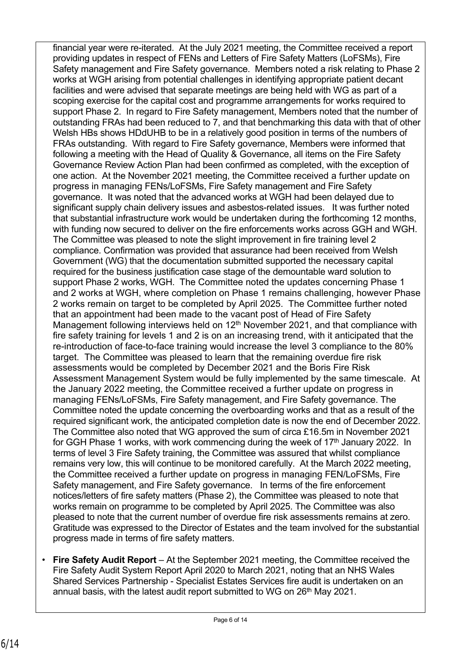financial year were re-iterated. At the July 2021 meeting, the Committee received a report providing updates in respect of FENs and Letters of Fire Safety Matters (LoFSMs), Fire Safety management and Fire Safety governance. Members noted a risk relating to Phase 2 works at WGH arising from potential challenges in identifying appropriate patient decant facilities and were advised that separate meetings are being held with WG as part of a scoping exercise for the capital cost and programme arrangements for works required to support Phase 2. In regard to Fire Safety management, Members noted that the number of outstanding FRAs had been reduced to 7, and that benchmarking this data with that of other Welsh HBs shows HDdUHB to be in a relatively good position in terms of the numbers of FRAs outstanding. With regard to Fire Safety governance, Members were informed that following a meeting with the Head of Quality & Governance, all items on the Fire Safety Governance Review Action Plan had been confirmed as completed, with the exception of one action. At the November 2021 meeting, the Committee received a further update on progress in managing FENs/LoFSMs, Fire Safety management and Fire Safety governance. It was noted that the advanced works at WGH had been delayed due to significant supply chain delivery issues and asbestos-related issues. It was further noted that substantial infrastructure work would be undertaken during the forthcoming 12 months, with funding now secured to deliver on the fire enforcements works across GGH and WGH. The Committee was pleased to note the slight improvement in fire training level 2 compliance. Confirmation was provided that assurance had been received from Welsh Government (WG) that the documentation submitted supported the necessary capital required for the business justification case stage of the demountable ward solution to support Phase 2 works, WGH. The Committee noted the updates concerning Phase 1 and 2 works at WGH, where completion on Phase 1 remains challenging, however Phase 2 works remain on target to be completed by April 2025. The Committee further noted that an appointment had been made to the vacant post of Head of Fire Safety Management following interviews held on 12<sup>th</sup> November 2021, and that compliance with fire safety training for levels 1 and 2 is on an increasing trend, with it anticipated that the re-introduction of face-to-face training would increase the level 3 compliance to the 80% target. The Committee was pleased to learn that the remaining overdue fire risk assessments would be completed by December 2021 and the Boris Fire Risk Assessment Management System would be fully implemented by the same timescale. At the January 2022 meeting, the Committee received a further update on progress in managing FENs/LoFSMs, Fire Safety management, and Fire Safety governance. The Committee noted the update concerning the overboarding works and that as a result of the required significant work, the anticipated completion date is now the end of December 2022. The Committee also noted that WG approved the sum of circa £16.5m in November 2021 for GGH Phase 1 works, with work commencing during the week of 17<sup>th</sup> January 2022. In terms of level 3 Fire Safety training, the Committee was assured that whilst compliance remains very low, this will continue to be monitored carefully. At the March 2022 meeting, the Committee received a further update on progress in managing FEN/LoFSMs, Fire Safety management, and Fire Safety governance. In terms of the fire enforcement notices/letters of fire safety matters (Phase 2), the Committee was pleased to note that works remain on programme to be completed by April 2025. The Committee was also pleased to note that the current number of overdue fire risk assessments remains at zero. Gratitude was expressed to the Director of Estates and the team involved for the substantial progress made in terms of fire safety matters.

• **Fire Safety Audit Report** – At the September 2021 meeting, the Committee received the Fire Safety Audit System Report April 2020 to March 2021, noting that an NHS Wales Shared Services Partnership - Specialist Estates Services fire audit is undertaken on an annual basis, with the latest audit report submitted to WG on 26<sup>th</sup> May 2021.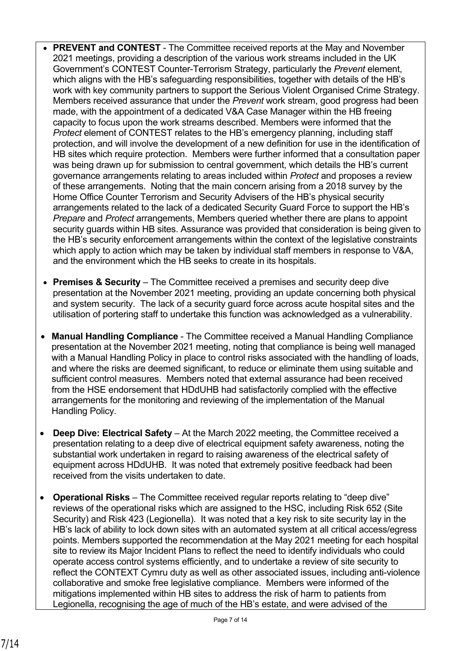- **PREVENT and CONTEST** The Committee received reports at the May and November 2021 meetings, providing a description of the various work streams included in the UK Government's CONTEST Counter-Terrorism Strategy, particularly the *Prevent* element, which aligns with the HB's safeguarding responsibilities, together with details of the HB's work with key community partners to support the Serious Violent Organised Crime Strategy. Members received assurance that under the *Prevent* work stream, good progress had been made, with the appointment of a dedicated V&A Case Manager within the HB freeing capacity to focus upon the work streams described. Members were informed that the *Protect* element of CONTEST relates to the HB's emergency planning, including staff protection, and will involve the development of a new definition for use in the identification of HB sites which require protection. Members were further informed that a consultation paper was being drawn up for submission to central government, which details the HB's current governance arrangements relating to areas included within *Protect* and proposes a review of these arrangements. Noting that the main concern arising from a 2018 survey by the Home Office Counter Terrorism and Security Advisers of the HB's physical security arrangements related to the lack of a dedicated Security Guard Force to support the HB's *Prepare* and *Protect* arrangements, Members queried whether there are plans to appoint security guards within HB sites. Assurance was provided that consideration is being given to the HB's security enforcement arrangements within the context of the legislative constraints which apply to action which may be taken by individual staff members in response to V&A, and the environment which the HB seeks to create in its hospitals.
- **Premises & Security** The Committee received a premises and security deep dive presentation at the November 2021 meeting, providing an update concerning both physical and system security.The lack of a security guard force across acute hospital sites and the utilisation of portering staff to undertake this function was acknowledged as a vulnerability.
- **Manual Handling Compliance**  The Committee received a Manual Handling Compliance presentation at the November 2021 meeting, noting that compliance is being well managed with a Manual Handling Policy in place to control risks associated with the handling of loads, and where the risks are deemed significant, to reduce or eliminate them using suitable and sufficient control measures. Members noted that external assurance had been received from the HSE endorsement that HDdUHB had satisfactorily complied with the effective arrangements for the monitoring and reviewing of the implementation of the Manual Handling Policy.
- **Deep Dive: Electrical Safety** At the March 2022 meeting, the Committee received a presentation relating to a deep dive of electrical equipment safety awareness, noting the substantial work undertaken in regard to raising awareness of the electrical safety of equipment across HDdUHB. It was noted that extremely positive feedback had been received from the visits undertaken to date.
- **Operational Risks** The Committee received regular reports relating to "deep dive" reviews of the operational risks which are assigned to the HSC, including Risk 652 (Site Security) and Risk 423 (Legionella). It was noted that a key risk to site security lay in the HB's lack of ability to lock down sites with an automated system at all critical access/egress points. Members supported the recommendation at the May 2021 meeting for each hospital site to review its Major Incident Plans to reflect the need to identify individuals who could operate access control systems efficiently, and to undertake a review of site security to reflect the CONTEXT Cymru duty as well as other associated issues, including anti-violence collaborative and smoke free legislative compliance. Members were informed of the mitigations implemented within HB sites to address the risk of harm to patients from Legionella, recognising the age of much of the HB's estate, and were advised of the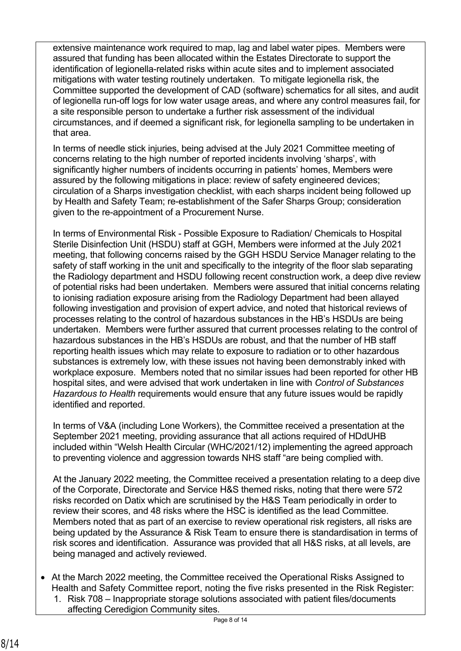extensive maintenance work required to map, lag and label water pipes. Members were assured that funding has been allocated within the Estates Directorate to support the identification of legionella-related risks within acute sites and to implement associated mitigations with water testing routinely undertaken. To mitigate legionella risk, the Committee supported the development of CAD (software) schematics for all sites, and audit of legionella run-off logs for low water usage areas, and where any control measures fail, for a site responsible person to undertake a further risk assessment of the individual circumstances, and if deemed a significant risk, for legionella sampling to be undertaken in that area.

In terms of needle stick injuries, being advised at the July 2021 Committee meeting of concerns relating to the high number of reported incidents involving 'sharps', with significantly higher numbers of incidents occurring in patients' homes, Members were assured by the following mitigations in place: review of safety engineered devices; circulation of a Sharps investigation checklist, with each sharps incident being followed up by Health and Safety Team; re-establishment of the Safer Sharps Group; consideration given to the re-appointment of a Procurement Nurse.

In terms of Environmental Risk - Possible Exposure to Radiation/ Chemicals to Hospital Sterile Disinfection Unit (HSDU) staff at GGH, Members were informed at the July 2021 meeting, that following concerns raised by the GGH HSDU Service Manager relating to the safety of staff working in the unit and specifically to the integrity of the floor slab separating the Radiology department and HSDU following recent construction work, a deep dive review of potential risks had been undertaken. Members were assured that initial concerns relating to ionising radiation exposure arising from the Radiology Department had been allayed following investigation and provision of expert advice, and noted that historical reviews of processes relating to the control of hazardous substances in the HB's HSDUs are being undertaken. Members were further assured that current processes relating to the control of hazardous substances in the HB's HSDUs are robust, and that the number of HB staff reporting health issues which may relate to exposure to radiation or to other hazardous substances is extremely low, with these issues not having been demonstrably inked with workplace exposure. Members noted that no similar issues had been reported for other HB hospital sites, and were advised that work undertaken in line with *Control of Substances Hazardous to Health* requirements would ensure that any future issues would be rapidly identified and reported.

In terms of V&A (including Lone Workers), the Committee received a presentation at the September 2021 meeting, providing assurance that all actions required of HDdUHB included within "Welsh Health Circular (WHC/2021/12) implementing the agreed approach to preventing violence and aggression towards NHS staff "are being complied with.

At the January 2022 meeting, the Committee received a presentation relating to a deep dive of the Corporate, Directorate and Service H&S themed risks, noting that there were 572 risks recorded on Datix which are scrutinised by the H&S Team periodically in order to review their scores, and 48 risks where the HSC is identified as the lead Committee. Members noted that as part of an exercise to review operational risk registers, all risks are being updated by the Assurance & Risk Team to ensure there is standardisation in terms of risk scores and identification. Assurance was provided that all H&S risks, at all levels, are being managed and actively reviewed.

- At the March 2022 meeting, the Committee received the Operational Risks Assigned to Health and Safety Committee report, noting the five risks presented in the Risk Register:
	- 1. Risk 708 Inappropriate storage solutions associated with patient files/documents affecting Ceredigion Community sites.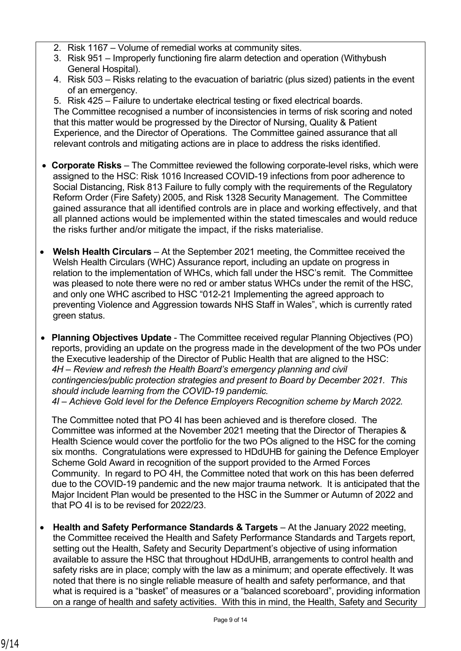- 2. Risk 1167 Volume of remedial works at community sites.
- 3. Risk 951 Improperly functioning fire alarm detection and operation (Withybush General Hospital).
- 4. Risk 503 Risks relating to the evacuation of bariatric (plus sized) patients in the event of an emergency.

5. Risk 425 – Failure to undertake electrical testing or fixed electrical boards. The Committee recognised a number of inconsistencies in terms of risk scoring and noted that this matter would be progressed by the Director of Nursing, Quality & Patient Experience, and the Director of Operations. The Committee gained assurance that all relevant controls and mitigating actions are in place to address the risks identified.

- **Corporate Risks** The Committee reviewed the following corporate-level risks, which were assigned to the HSC: Risk 1016 Increased COVID-19 infections from poor adherence to Social Distancing, Risk 813 Failure to fully comply with the requirements of the Regulatory Reform Order (Fire Safety) 2005, and Risk 1328 Security Management. The Committee gained assurance that all identified controls are in place and working effectively, and that all planned actions would be implemented within the stated timescales and would reduce the risks further and/or mitigate the impact, if the risks materialise.
- Welsh Health Circulars At the September 2021 meeting, the Committee received the Welsh Health Circulars (WHC) Assurance report, including an update on progress in relation to the implementation of WHCs, which fall under the HSC's remit. The Committee was pleased to note there were no red or amber status WHCs under the remit of the HSC, and only one WHC ascribed to HSC "012-21 Implementing the agreed approach to preventing Violence and Aggression towards NHS Staff in Wales", which is currently rated green status.
- **Planning Objectives Update** The Committee received regular Planning Objectives (PO) reports, providing an update on the progress made in the development of the two POs under the Executive leadership of the Director of Public Health that are aligned to the HSC: *4H – Review and refresh the Health Board's emergency planning and civil contingencies/public protection strategies and present to Board by December 2021. This should include learning from the COVID-19 pandemic. 4I – Achieve Gold level for the Defence Employers Recognition scheme by March 2022.*

The Committee noted that PO 4I has been achieved and is therefore closed. The Committee was informed at the November 2021 meeting that the Director of Therapies & Health Science would cover the portfolio for the two POs aligned to the HSC for the coming six months. Congratulations were expressed to HDdUHB for gaining the Defence Employer Scheme Gold Award in recognition of the support provided to the Armed Forces Community. In regard to PO 4H, the Committee noted that work on this has been deferred due to the COVID-19 pandemic and the new major trauma network. It is anticipated that the Major Incident Plan would be presented to the HSC in the Summer or Autumn of 2022 and that PO 4I is to be revised for 2022/23.

• **Health and Safety Performance Standards & Targets** – At the January 2022 meeting, the Committee received the Health and Safety Performance Standards and Targets report, setting out the Health, Safety and Security Department's objective of using information available to assure the HSC that throughout HDdUHB, arrangements to control health and safety risks are in place; comply with the law as a minimum; and operate effectively. It was noted that there is no single reliable measure of health and safety performance, and that what is required is a "basket" of measures or a "balanced scoreboard", providing information on a range of health and safety activities. With this in mind, the Health, Safety and Security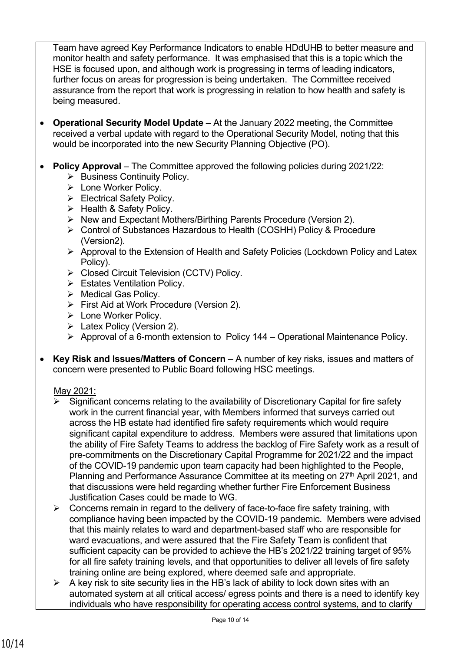Team have agreed Key Performance Indicators to enable HDdUHB to better measure and monitor health and safety performance. It was emphasised that this is a topic which the HSE is focused upon, and although work is progressing in terms of leading indicators, further focus on areas for progression is being undertaken. The Committee received assurance from the report that work is progressing in relation to how health and safety is being measured.

- **Operational Security Model Update** At the January 2022 meeting, the Committee received a verbal update with regard to the Operational Security Model, noting that this would be incorporated into the new Security Planning Objective (PO).
- **Policy Approval** The Committee approved the following policies during 2021/22:
	- ➢ Business Continuity Policy.
	- ➢ Lone Worker Policy.
	- ➢ Electrical Safety Policy.
	- ➢ Health & Safety Policy.
	- ➢ New and Expectant Mothers/Birthing Parents Procedure (Version 2).
	- ➢ Control of Substances Hazardous to Health (COSHH) Policy & Procedure (Version2).
	- ➢ Approval to the Extension of Health and Safety Policies (Lockdown Policy and Latex Policy).
	- ➢ Closed Circuit Television (CCTV) Policy.
	- ➢ Estates Ventilation Policy.
	- ➢ Medical Gas Policy.
	- ➢ First Aid at Work Procedure (Version 2).
	- ➢ Lone Worker Policy.
	- ➢ Latex Policy (Version 2).
	- ➢ Approval of a 6-month extension to Policy 144 Operational Maintenance Policy.
- **Key Risk and Issues/Matters of Concern** A number of key risks, issues and matters of concern were presented to Public Board following HSC meetings.

### May 2021:

- Significant concerns relating to the availability of Discretionary Capital for fire safety work in the current financial year, with Members informed that surveys carried out across the HB estate had identified fire safety requirements which would require significant capital expenditure to address. Members were assured that limitations upon the ability of Fire Safety Teams to address the backlog of Fire Safety work as a result of pre-commitments on the Discretionary Capital Programme for 2021/22 and the impact of the COVID-19 pandemic upon team capacity had been highlighted to the People, Planning and Performance Assurance Committee at its meeting on 27<sup>th</sup> April 2021, and that discussions were held regarding whether further Fire Enforcement Business Justification Cases could be made to WG.
- $\triangleright$  Concerns remain in regard to the delivery of face-to-face fire safety training, with compliance having been impacted by the COVID-19 pandemic. Members were advised that this mainly relates to ward and department-based staff who are responsible for ward evacuations, and were assured that the Fire Safety Team is confident that sufficient capacity can be provided to achieve the HB's 2021/22 training target of 95% for all fire safety training levels, and that opportunities to deliver all levels of fire safety training online are being explored, where deemed safe and appropriate.
- $\triangleright$  A key risk to site security lies in the HB's lack of ability to lock down sites with an automated system at all critical access/ egress points and there is a need to identify key individuals who have responsibility for operating access control systems, and to clarify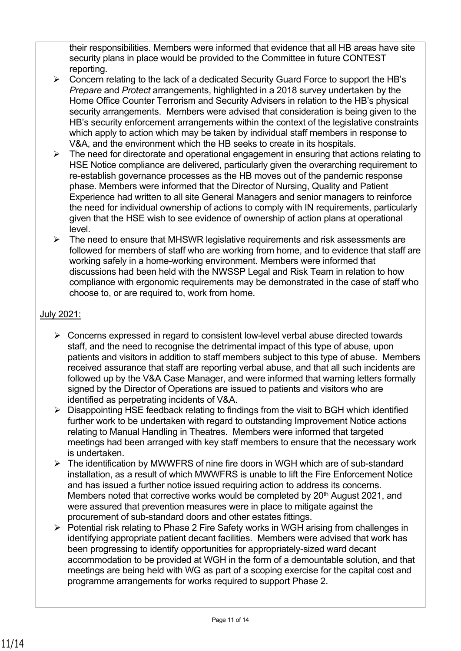their responsibilities. Members were informed that evidence that all HB areas have site security plans in place would be provided to the Committee in future CONTEST reporting.

- ➢ Concern relating to the lack of a dedicated Security Guard Force to support the HB's *Prepare* and *Protect* arrangements, highlighted in a 2018 survey undertaken by the Home Office Counter Terrorism and Security Advisers in relation to the HB's physical security arrangements. Members were advised that consideration is being given to the HB's security enforcement arrangements within the context of the legislative constraints which apply to action which may be taken by individual staff members in response to V&A, and the environment which the HB seeks to create in its hospitals.
- $\triangleright$  The need for directorate and operational engagement in ensuring that actions relating to HSE Notice compliance are delivered, particularly given the overarching requirement to re-establish governance processes as the HB moves out of the pandemic response phase. Members were informed that the Director of Nursing, Quality and Patient Experience had written to all site General Managers and senior managers to reinforce the need for individual ownership of actions to comply with IN requirements, particularly given that the HSE wish to see evidence of ownership of action plans at operational level.
- ➢ The need to ensure that MHSWR legislative requirements and risk assessments are followed for members of staff who are working from home, and to evidence that staff are working safely in a home-working environment. Members were informed that discussions had been held with the NWSSP Legal and Risk Team in relation to how compliance with ergonomic requirements may be demonstrated in the case of staff who choose to, or are required to, work from home.

# July 2021:

- $\triangleright$  Concerns expressed in regard to consistent low-level verbal abuse directed towards staff, and the need to recognise the detrimental impact of this type of abuse, upon patients and visitors in addition to staff members subject to this type of abuse. Members received assurance that staff are reporting verbal abuse, and that all such incidents are followed up by the V&A Case Manager, and were informed that warning letters formally signed by the Director of Operations are issued to patients and visitors who are identified as perpetrating incidents of V&A.
- ➢ Disappointing HSE feedback relating to findings from the visit to BGH which identified further work to be undertaken with regard to outstanding Improvement Notice actions relating to Manual Handling in Theatres. Members were informed that targeted meetings had been arranged with key staff members to ensure that the necessary work is undertaken.
- ➢ The identification by MWWFRS of nine fire doors in WGH which are of sub-standard installation, as a result of which MWWFRS is unable to lift the Fire Enforcement Notice and has issued a further notice issued requiring action to address its concerns. Members noted that corrective works would be completed by  $20<sup>th</sup>$  August 2021, and were assured that prevention measures were in place to mitigate against the procurement of sub-standard doors and other estates fittings.
- ➢ Potential risk relating to Phase 2 Fire Safety works in WGH arising from challenges in identifying appropriate patient decant facilities. Members were advised that work has been progressing to identify opportunities for appropriately-sized ward decant accommodation to be provided at WGH in the form of a demountable solution, and that meetings are being held with WG as part of a scoping exercise for the capital cost and programme arrangements for works required to support Phase 2.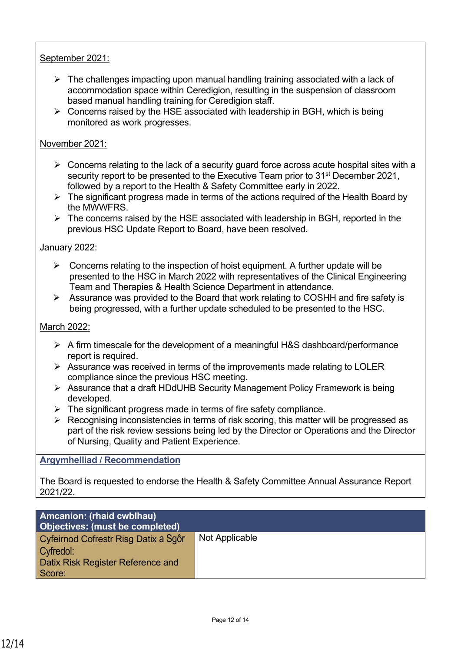# September 2021:

- $\triangleright$  The challenges impacting upon manual handling training associated with a lack of accommodation space within Ceredigion, resulting in the suspension of classroom based manual handling training for Ceredigion staff.
- $\triangleright$  Concerns raised by the HSE associated with leadership in BGH, which is being monitored as work progresses.

### November 2021:

- ➢ Concerns relating to the lack of a security guard force across acute hospital sites with a security report to be presented to the Executive Team prior to 31<sup>st</sup> December 2021, followed by a report to the Health & Safety Committee early in 2022.
- $\triangleright$  The significant progress made in terms of the actions required of the Health Board by the MWWFRS.
- $\triangleright$  The concerns raised by the HSE associated with leadership in BGH, reported in the previous HSC Update Report to Board, have been resolved.

### January 2022:

- $\triangleright$  Concerns relating to the inspection of hoist equipment. A further update will be presented to the HSC in March 2022 with representatives of the Clinical Engineering Team and Therapies & Health Science Department in attendance.
- ➢ Assurance was provided to the Board that work relating to COSHH and fire safety is being progressed, with a further update scheduled to be presented to the HSC.

### March 2022:

- ➢ A firm timescale for the development of a meaningful H&S dashboard/performance report is required.
- $\triangleright$  Assurance was received in terms of the improvements made relating to LOLER compliance since the previous HSC meeting.
- ➢ Assurance that a draft HDdUHB Security Management Policy Framework is being developed.
- $\triangleright$  The significant progress made in terms of fire safety compliance.
- ➢ Recognising inconsistencies in terms of risk scoring, this matter will be progressed as part of the risk review sessions being led by the Director or Operations and the Director of Nursing, Quality and Patient Experience.

### **Argymhelliad / Recommendation**

The Board is requested to endorse the Health & Safety Committee Annual Assurance Report 2021/22.

| <b>Amcanion: (rhaid cwblhau)</b><br><b>Objectives: (must be completed)</b>                              |                |
|---------------------------------------------------------------------------------------------------------|----------------|
| Cyfeirnod Cofrestr Risg Datix a Sgôr<br>Cyfredol:<br><b>Datix Risk Register Reference and</b><br>Score: | Not Applicable |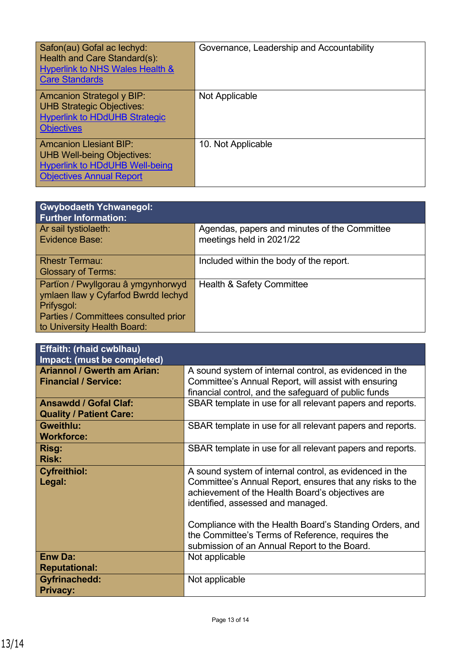| Safon(au) Gofal ac lechyd:<br>Health and Care Standard(s):<br><b>Hyperlink to NHS Wales Health &amp;</b><br><b>Care Standards</b>              | Governance, Leadership and Accountability |
|------------------------------------------------------------------------------------------------------------------------------------------------|-------------------------------------------|
| <b>Amcanion Strategol y BIP:</b><br><b>UHB Strategic Objectives:</b><br><b>Hyperlink to HDdUHB Strategic</b><br><b>Objectives</b>              | Not Applicable                            |
| <b>Amcanion Llesiant BIP:</b><br><b>UHB Well-being Objectives:</b><br><b>Hyperlink to HDdUHB Well-being</b><br><b>Objectives Annual Report</b> | 10. Not Applicable                        |

| <b>Gwybodaeth Ychwanegol:</b><br><b>Further Information:</b>                                                                                                   |                                                                          |
|----------------------------------------------------------------------------------------------------------------------------------------------------------------|--------------------------------------------------------------------------|
| Ar sail tystiolaeth:<br>Evidence Base:                                                                                                                         | Agendas, papers and minutes of the Committee<br>meetings held in 2021/22 |
| <b>Rhestr Termau:</b><br><b>Glossary of Terms:</b>                                                                                                             | Included within the body of the report.                                  |
| Partïon / Pwyllgorau â ymgynhorwyd<br>ymlaen llaw y Cyfarfod Bwrdd Iechyd<br>Prifysgol:<br>Parties / Committees consulted prior<br>to University Health Board: | Health & Safety Committee                                                |

| <b>Effaith: (rhaid cwblhau)</b><br>Impact: (must be completed)    |                                                                                                                                                                                                              |
|-------------------------------------------------------------------|--------------------------------------------------------------------------------------------------------------------------------------------------------------------------------------------------------------|
| <b>Ariannol / Gwerth am Arian:</b><br><b>Financial / Service:</b> | A sound system of internal control, as evidenced in the<br>Committee's Annual Report, will assist with ensuring<br>financial control, and the safeguard of public funds                                      |
| <b>Ansawdd / Gofal Claf:</b><br><b>Quality / Patient Care:</b>    | SBAR template in use for all relevant papers and reports.                                                                                                                                                    |
| <b>Gweithlu:</b><br><b>Workforce:</b>                             | SBAR template in use for all relevant papers and reports.                                                                                                                                                    |
| Risg:<br><b>Risk:</b>                                             | SBAR template in use for all relevant papers and reports.                                                                                                                                                    |
| <b>Cyfreithiol:</b><br>Legal:                                     | A sound system of internal control, as evidenced in the<br>Committee's Annual Report, ensures that any risks to the<br>achievement of the Health Board's objectives are<br>identified, assessed and managed. |
|                                                                   | Compliance with the Health Board's Standing Orders, and<br>the Committee's Terms of Reference, requires the<br>submission of an Annual Report to the Board.                                                  |
| <b>Enw Da:</b><br><b>Reputational:</b>                            | Not applicable                                                                                                                                                                                               |
| <b>Gyfrinachedd:</b><br><b>Privacy:</b>                           | Not applicable                                                                                                                                                                                               |